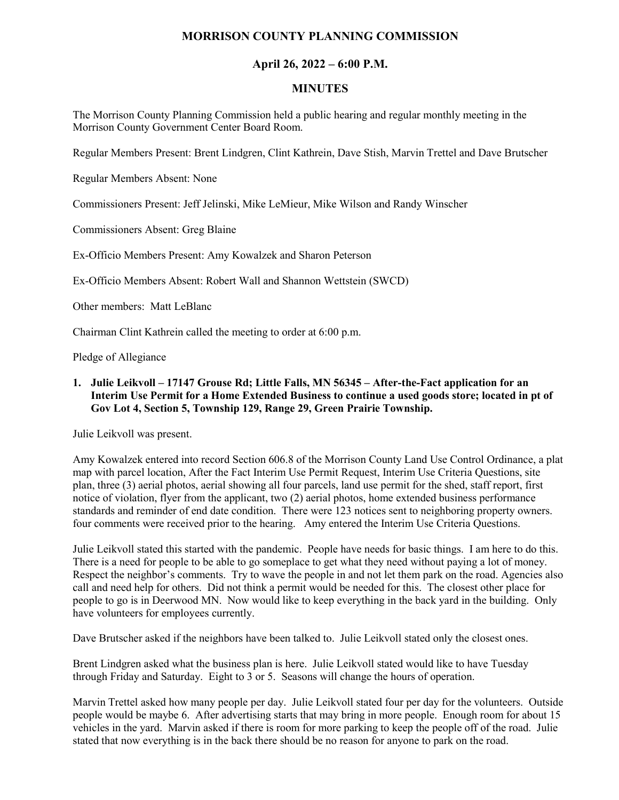## **MORRISON COUNTY PLANNING COMMISSION**

## **April 26, 2022 – 6:00 P.M.**

## **MINUTES**

The Morrison County Planning Commission held a public hearing and regular monthly meeting in the Morrison County Government Center Board Room.

Regular Members Present: Brent Lindgren, Clint Kathrein, Dave Stish, Marvin Trettel and Dave Brutscher

Regular Members Absent: None

Commissioners Present: Jeff Jelinski, Mike LeMieur, Mike Wilson and Randy Winscher

Commissioners Absent: Greg Blaine

Ex-Officio Members Present: Amy Kowalzek and Sharon Peterson

Ex-Officio Members Absent: Robert Wall and Shannon Wettstein (SWCD)

Other members: Matt LeBlanc

Chairman Clint Kathrein called the meeting to order at 6:00 p.m.

Pledge of Allegiance

## **1. Julie Leikvoll – 17147 Grouse Rd; Little Falls, MN 56345 – After-the-Fact application for an Interim Use Permit for a Home Extended Business to continue a used goods store; located in pt of Gov Lot 4, Section 5, Township 129, Range 29, Green Prairie Township.**

Julie Leikvoll was present.

Amy Kowalzek entered into record Section 606.8 of the Morrison County Land Use Control Ordinance, a plat map with parcel location, After the Fact Interim Use Permit Request, Interim Use Criteria Questions, site plan, three (3) aerial photos, aerial showing all four parcels, land use permit for the shed, staff report, first notice of violation, flyer from the applicant, two (2) aerial photos, home extended business performance standards and reminder of end date condition. There were 123 notices sent to neighboring property owners. four comments were received prior to the hearing. Amy entered the Interim Use Criteria Questions.

Julie Leikvoll stated this started with the pandemic. People have needs for basic things. I am here to do this. There is a need for people to be able to go someplace to get what they need without paying a lot of money. Respect the neighbor's comments. Try to wave the people in and not let them park on the road. Agencies also call and need help for others. Did not think a permit would be needed for this. The closest other place for people to go is in Deerwood MN. Now would like to keep everything in the back yard in the building. Only have volunteers for employees currently.

Dave Brutscher asked if the neighbors have been talked to. Julie Leikvoll stated only the closest ones.

Brent Lindgren asked what the business plan is here. Julie Leikvoll stated would like to have Tuesday through Friday and Saturday. Eight to 3 or 5. Seasons will change the hours of operation.

Marvin Trettel asked how many people per day. Julie Leikvoll stated four per day for the volunteers. Outside people would be maybe 6. After advertising starts that may bring in more people. Enough room for about 15 vehicles in the yard. Marvin asked if there is room for more parking to keep the people off of the road. Julie stated that now everything is in the back there should be no reason for anyone to park on the road.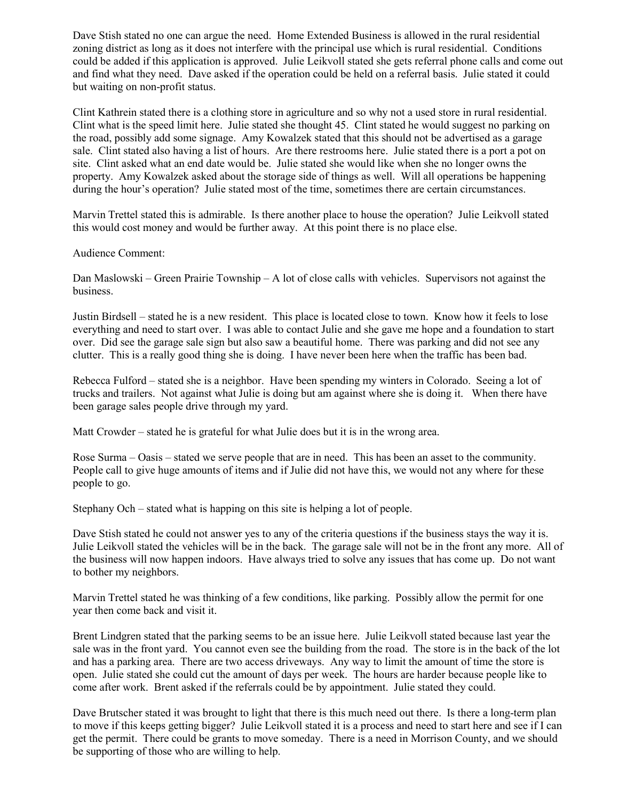Dave Stish stated no one can argue the need. Home Extended Business is allowed in the rural residential zoning district as long as it does not interfere with the principal use which is rural residential. Conditions could be added if this application is approved. Julie Leikvoll stated she gets referral phone calls and come out and find what they need. Dave asked if the operation could be held on a referral basis. Julie stated it could but waiting on non-profit status.

Clint Kathrein stated there is a clothing store in agriculture and so why not a used store in rural residential. Clint what is the speed limit here. Julie stated she thought 45. Clint stated he would suggest no parking on the road, possibly add some signage. Amy Kowalzek stated that this should not be advertised as a garage sale. Clint stated also having a list of hours. Are there restrooms here. Julie stated there is a port a pot on site. Clint asked what an end date would be. Julie stated she would like when she no longer owns the property. Amy Kowalzek asked about the storage side of things as well. Will all operations be happening during the hour's operation? Julie stated most of the time, sometimes there are certain circumstances.

Marvin Trettel stated this is admirable. Is there another place to house the operation? Julie Leikvoll stated this would cost money and would be further away. At this point there is no place else.

Audience Comment:

Dan Maslowski – Green Prairie Township – A lot of close calls with vehicles. Supervisors not against the business.

Justin Birdsell – stated he is a new resident. This place is located close to town. Know how it feels to lose everything and need to start over. I was able to contact Julie and she gave me hope and a foundation to start over. Did see the garage sale sign but also saw a beautiful home. There was parking and did not see any clutter. This is a really good thing she is doing. I have never been here when the traffic has been bad.

Rebecca Fulford – stated she is a neighbor. Have been spending my winters in Colorado. Seeing a lot of trucks and trailers. Not against what Julie is doing but am against where she is doing it. When there have been garage sales people drive through my yard.

Matt Crowder – stated he is grateful for what Julie does but it is in the wrong area.

Rose Surma – Oasis – stated we serve people that are in need. This has been an asset to the community. People call to give huge amounts of items and if Julie did not have this, we would not any where for these people to go.

Stephany Och – stated what is happing on this site is helping a lot of people.

Dave Stish stated he could not answer yes to any of the criteria questions if the business stays the way it is. Julie Leikvoll stated the vehicles will be in the back. The garage sale will not be in the front any more. All of the business will now happen indoors. Have always tried to solve any issues that has come up. Do not want to bother my neighbors.

Marvin Trettel stated he was thinking of a few conditions, like parking. Possibly allow the permit for one year then come back and visit it.

Brent Lindgren stated that the parking seems to be an issue here. Julie Leikvoll stated because last year the sale was in the front yard. You cannot even see the building from the road. The store is in the back of the lot and has a parking area. There are two access driveways. Any way to limit the amount of time the store is open. Julie stated she could cut the amount of days per week. The hours are harder because people like to come after work. Brent asked if the referrals could be by appointment. Julie stated they could.

Dave Brutscher stated it was brought to light that there is this much need out there. Is there a long-term plan to move if this keeps getting bigger? Julie Leikvoll stated it is a process and need to start here and see if I can get the permit. There could be grants to move someday. There is a need in Morrison County, and we should be supporting of those who are willing to help.